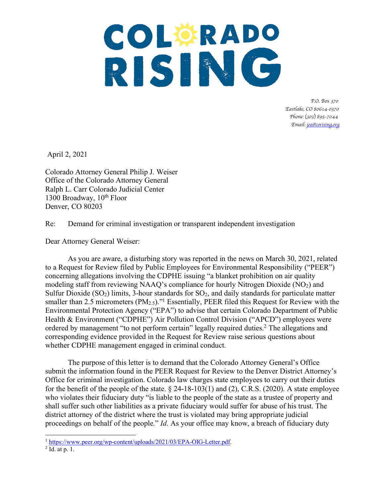# COLORADO RISING

 *P.O. Box 370 Eastlake, CO 80614-0370 Phone:* (*303*) *895-7044 Email: joe@corising.org*

April 2, 2021

Colorado Attorney General Philip J. Weiser Office of the Colorado Attorney General Ralph L. Carr Colorado Judicial Center 1300 Broadway,  $10^{th}$  Floor Denver, CO 80203

Re: Demand for criminal investigation or transparent independent investigation

Dear Attorney General Weiser:

As you are aware, a disturbing story was reported in the news on March 30, 2021, related to a Request for Review filed by Public Employees for Environmental Responsibility ("PEER") concerning allegations involving the CDPHE issuing "a blanket prohibition on air quality modeling staff from reviewing NAAQ's compliance for hourly Nitrogen Dioxide  $(NO<sub>2</sub>)$  and Sulfur Dioxide  $(SO<sub>2</sub>)$  limits, 3-hour standards for  $SO<sub>2</sub>$ , and daily standards for particulate matter smaller than 2.5 micrometers  $(PM_{2.5})$ ."<sup>1</sup> Essentially, PEER filed this Request for Review with the Environmental Protection Agency ("EPA") to advise that certain Colorado Department of Public Health & Environment ("CDPHE") Air Pollution Control Division ("APCD") employees were ordered by management "to not perform certain" legally required duties.2 The allegations and corresponding evidence provided in the Request for Review raise serious questions about whether CDPHE management engaged in criminal conduct.

The purpose of this letter is to demand that the Colorado Attorney General's Office submit the information found in the PEER Request for Review to the Denver District Attorney's Office for criminal investigation. Colorado law charges state employees to carry out their duties for the benefit of the people of the state.  $\S$  24-18-103(1) and (2), C.R.S. (2020). A state employee who violates their fiduciary duty "is liable to the people of the state as a trustee of property and shall suffer such other liabilities as a private fiduciary would suffer for abuse of his trust. The district attorney of the district where the trust is violated may bring appropriate judicial proceedings on behalf of the people." *Id*. As your office may know, a breach of fiduciary duty

 $\overline{a}$ 

<sup>&</sup>lt;sup>1</sup> https://www.peer.org/wp-content/uploads/2021/03/EPA-OIG-Letter.pdf.<br><sup>2</sup> Id. at p. 1.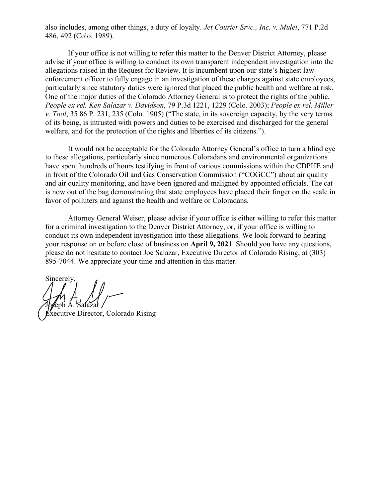also includes, among other things, a duty of loyalty. *Jet Courier Srvc., Inc. v. Mulei*, 771 P.2d 486, 492 (Colo. 1989).

If your office is not willing to refer this matter to the Denver District Attorney, please advise if your office is willing to conduct its own transparent independent investigation into the allegations raised in the Request for Review. It is incumbent upon our state's highest law enforcement officer to fully engage in an investigation of these charges against state employees, particularly since statutory duties were ignored that placed the public health and welfare at risk. One of the major duties of the Colorado Attorney General is to protect the rights of the public. *People ex rel. Ken Salazar v. Davidson*, 79 P.3d 1221, 1229 (Colo. 2003); *People ex rel. Miller v. Tool*, 35 86 P. 231, 235 (Colo. 1905) ("The state, in its sovereign capacity, by the very terms of its being, is intrusted with powers and duties to be exercised and discharged for the general welfare, and for the protection of the rights and liberties of its citizens.").

It would not be acceptable for the Colorado Attorney General's office to turn a blind eye to these allegations, particularly since numerous Coloradans and environmental organizations have spent hundreds of hours testifying in front of various commissions within the CDPHE and in front of the Colorado Oil and Gas Conservation Commission ("COGCC") about air quality and air quality monitoring, and have been ignored and maligned by appointed officials. The cat is now out of the bag demonstrating that state employees have placed their finger on the scale in favor of polluters and against the health and welfare or Coloradans.

Attorney General Weiser, please advise if your office is either willing to refer this matter for a criminal investigation to the Denver District Attorney, or, if your office is willing to conduct its own independent investigation into these allegations. We look forward to hearing your response on or before close of business on **April 9, 2021**. Should you have any questions, please do not hesitate to contact Joe Salazar, Executive Director of Colorado Rising, at (303) 895-7044. We appreciate your time and attention in this matter.

Sincerely, Jbeph A. Salazar

Xecutive Director, Colorado Rising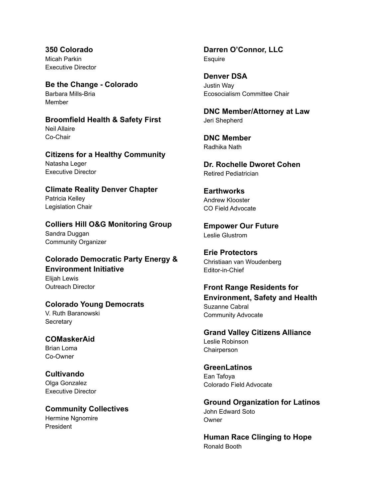**350 Colorado** Micah Parkin Executive Director

**Be the Change - Colorado** Barbara Mills-Bria Member

#### **Broomfield Health & Safety First** Neil Allaire

Co-Chair

#### **Citizens for a Healthy Community** Natasha Leger Executive Director

# **Climate Reality Denver Chapter** Patricia Kelley

Legislation Chair

## **Colliers Hill O&G Monitoring Group** Sandra Duggan Community Organizer

## **Colorado Democratic Party Energy & Environment Initiative** Elijah Lewis Outreach Director

## **Colorado Young Democrats** V. Ruth Baranowski

**Secretary** 

#### **COMaskerAid** Brian Loma Co-Owner

**Cultivando** Olga Gonzalez Executive Director

## **Community Collectives** Hermine Ngnomire President

**Darren O'Connor, LLC Esquire** 

**Denver DSA** Justin Way Ecosocialism Committee Chair

**DNC Member/Attorney at Law** Jeri Shepherd

**DNC Member** Radhika Nath

**Dr. Rochelle Dworet Cohen** Retired Pediatrician

#### **Earthworks** Andrew Klooster CO Field Advocate

**Empower Our Future** Leslie Glustrom

**Erie Protectors** Christiaan van Woudenberg Editor-in-Chief

**Front Range Residents for Environment, Safety and Health** Suzanne Cabral Community Advocate

**Grand Valley Citizens Alliance** Leslie Robinson **Chairperson** 

**GreenLatinos** Ean Tafoya Colorado Field Advocate

**Ground Organization for Latinos** John Edward Soto **Owner** 

**Human Race Clinging to Hope** Ronald Booth